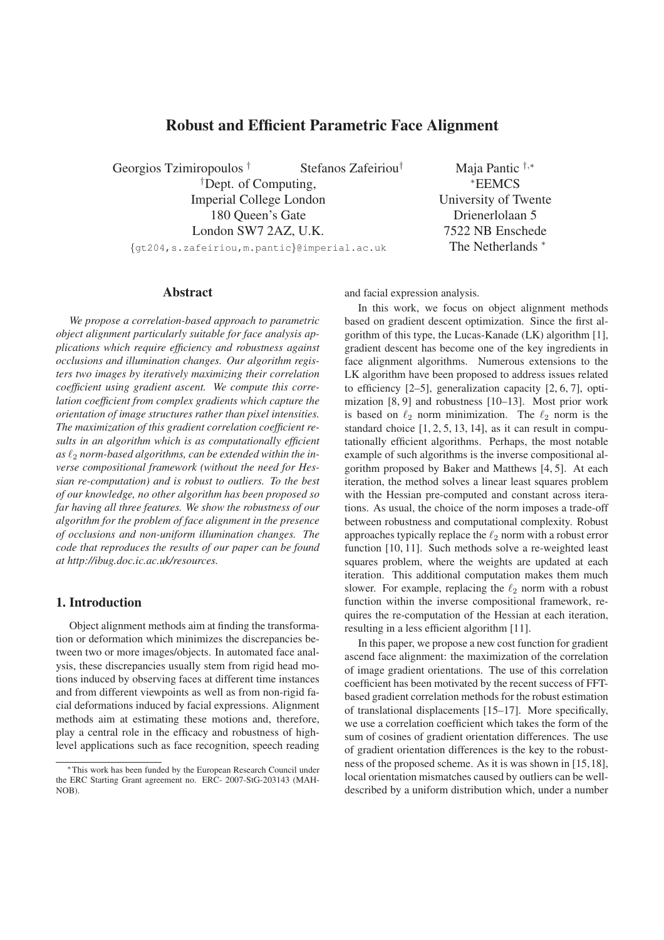# **Robust and Efficient Parametric Face Alignment**

Georgios Tzimiropoulos † Stefanos Zafeiriou† †Dept. of Computing, Imperial College London 180 Queen's Gate London SW7 2AZ, U.K. {gt204,s.zafeiriou,m.pantic}@imperial.ac.uk

Maja Pantic †,<sup>∗</sup> <sup>∗</sup>EEMCS University of Twente Drienerlolaan 5 7522 NB Enschede The Netherlands  $*$ 

### **Abstract**

*We propose a correlation-based approach to parametric object alignment particularly suitable for face analysis applications which require efficiency and robustness against occlusions and illumination changes. Our algorithm registers two images by iteratively maximizing their correlation coefficient using gradient ascent. We compute this correlation coefficient from complex gradients which capture the orientation of image structures rather than pixel intensities. The maximization of this gradient correlation coefficient results in an algorithm which is as computationally efficient* as  $\ell_2$  norm-based algorithms, can be extended within the in*verse compositional framework (without the need for Hessian re-computation) and is robust to outliers. To the best of our knowledge, no other algorithm has been proposed so far having all three features. We show the robustness of our algorithm for the problem of face alignment in the presence of occlusions and non-uniform illumination changes. The code that reproduces the results of our paper can be found at http://ibug.doc.ic.ac.uk/resources.*

#### **1. Introduction**

Object alignment methods aim at finding the transformation or deformation which minimizes the discrepancies between two or more images/objects. In automated face analysis, these discrepancies usually stem from rigid head motions induced by observing faces at different time instances and from different viewpoints as well as from non-rigid facial deformations induced by facial expressions. Alignment methods aim at estimating these motions and, therefore, play a central role in the efficacy and robustness of highlevel applications such as face recognition, speech reading and facial expression analysis.

In this work, we focus on object alignment methods based on gradient descent optimization. Since the first algorithm of this type, the Lucas-Kanade (LK) algorithm [1], gradient descent has become one of the key ingredients in face alignment algorithms. Numerous extensions to the LK algorithm have been proposed to address issues related to efficiency [2–5], generalization capacity [2, 6, 7], optimization [8, 9] and robustness [10–13]. Most prior work is based on  $\ell_2$  norm minimization. The  $\ell_2$  norm is the standard choice [1, 2, 5, 13, 14], as it can result in computationally efficient algorithms. Perhaps, the most notable example of such algorithms is the inverse compositional algorithm proposed by Baker and Matthews [4, 5]. At each iteration, the method solves a linear least squares problem with the Hessian pre-computed and constant across iterations. As usual, the choice of the norm imposes a trade-off between robustness and computational complexity. Robust approaches typically replace the  $\ell_2$  norm with a robust error function [10, 11]. Such methods solve a re-weighted least squares problem, where the weights are updated at each iteration. This additional computation makes them much slower. For example, replacing the  $\ell_2$  norm with a robust function within the inverse compositional framework, requires the re-computation of the Hessian at each iteration, resulting in a less efficient algorithm [11].

In this paper, we propose a new cost function for gradient ascend face alignment: the maximization of the correlation of image gradient orientations. The use of this correlation coefficient has been motivated by the recent success of FFTbased gradient correlation methods for the robust estimation of translational displacements [15–17]. More specifically, we use a correlation coefficient which takes the form of the sum of cosines of gradient orientation differences. The use of gradient orientation differences is the key to the robustness of the proposed scheme. As it is was shown in [15,18], local orientation mismatches caused by outliers can be welldescribed by a uniform distribution which, under a number

<sup>∗</sup>This work has been funded by the European Research Council under the ERC Starting Grant agreement no. ERC- 2007-StG-203143 (MAH-NOB).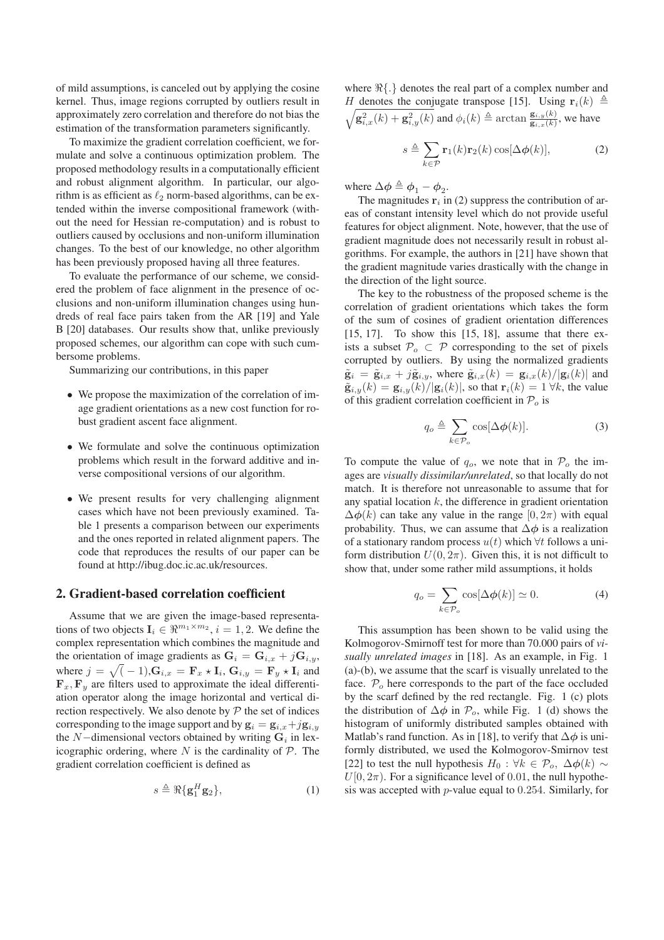of mild assumptions, is canceled out by applying the cosine kernel. Thus, image regions corrupted by outliers result in approximately zero correlation and therefore do not bias the estimation of the transformation parameters significantly.

To maximize the gradient correlation coefficient, we formulate and solve a continuous optimization problem. The proposed methodology results in a computationally efficient and robust alignment algorithm. In particular, our algorithm is as efficient as  $\ell_2$  norm-based algorithms, can be extended within the inverse compositional framework (without the need for Hessian re-computation) and is robust to outliers caused by occlusions and non-uniform illumination changes. To the best of our knowledge, no other algorithm has been previously proposed having all three features.

To evaluate the performance of our scheme, we considered the problem of face alignment in the presence of occlusions and non-uniform illumination changes using hundreds of real face pairs taken from the AR [19] and Yale B [20] databases. Our results show that, unlike previously proposed schemes, our algorithm can cope with such cumbersome problems.

Summarizing our contributions, in this paper

- We propose the maximization of the correlation of image gradient orientations as a new cost function for robust gradient ascent face alignment.
- We formulate and solve the continuous optimization problems which result in the forward additive and inverse compositional versions of our algorithm.
- We present results for very challenging alignment cases which have not been previously examined. Table 1 presents a comparison between our experiments and the ones reported in related alignment papers. The code that reproduces the results of our paper can be found at http://ibug.doc.ic.ac.uk/resources.

### **2. Gradient-based correlation coefficient**

Assume that we are given the image-based representations of two objects  $I_i \in \mathbb{R}^{m_1 \times m_2}$ ,  $i = 1, 2$ . We define the complex representation which combines the magnitude and the orientation of image gradients as  $G_i = G_{i,x} + jG_{i,y}$ , where  $j = \sqrt{(-1)}$ ,  $G_{i,x} = \mathbf{F}_x \star \mathbf{I}_i$ ,  $G_{i,y} = \mathbf{F}_y \star \mathbf{I}_i$  and  $\mathbf{F}_x, \mathbf{F}_y$  are filters used to approximate the ideal differentiation operator along the image horizontal and vertical direction respectively. We also denote by  $P$  the set of indices corresponding to the image support and by  $\mathbf{g}_i = \mathbf{g}_{i,x} + j\mathbf{g}_{i,y}$ the N–dimensional vectors obtained by writing  $G_i$  in lexicographic ordering, where  $N$  is the cardinality of  $P$ . The gradient correlation coefficient is defined as

$$
s \triangleq \Re{\{\mathbf{g}_1^H \mathbf{g}_2\}},\tag{1}
$$

where  $\Re\{\cdot\}$  denotes the real part of a complex number and H denotes the conjugate transpose [15]. Using  $\mathbf{r}_i(k) \triangleq$  $\sqrt{\mathbf{g}_{i,x}^2(k) + \mathbf{g}_{i,y}^2(k)}$  and  $\phi_i(k) \triangleq \arctan \frac{\mathbf{g}_{i,y}(k)}{\mathbf{g}_{i,x}(k)}$ , we have

 $s \triangleq \sum$  $k \in \mathcal{P}$  $\mathbf{r}_1(k)\mathbf{r}_2(k)\cos[\Delta\phi(k)],$  (2)

where  $\Delta \phi \triangleq \phi_1 - \phi_2$ .

The magnitudes  $r_i$  in (2) suppress the contribution of areas of constant intensity level which do not provide useful features for object alignment. Note, however, that the use of gradient magnitude does not necessarily result in robust algorithms. For example, the authors in [21] have shown that the gradient magnitude varies drastically with the change in the direction of the light source.

The key to the robustness of the proposed scheme is the correlation of gradient orientations which takes the form of the sum of cosines of gradient orientation differences  $[15, 17]$ . To show this  $[15, 18]$ , assume that there exists a subset  $\mathcal{P}_{o} \subset \mathcal{P}$  corresponding to the set of pixels corrupted by outliers. By using the normalized gradients  $\tilde{\mathbf{g}}_i = \tilde{\mathbf{g}}_{i,x} + j\tilde{\mathbf{g}}_{i,y}$ , where  $\tilde{\mathbf{g}}_{i,x}(k) = \mathbf{g}_{i,x}(k)/|\mathbf{g}_i(k)|$  and  $\tilde{\mathbf{g}}_{i,y}(k) = \mathbf{g}_{i,y}(k)/|\mathbf{g}_i(k)|$ , so that  $\mathbf{r}_i(k) = 1 \forall k$ , the value of this gradient correlation coefficient in  $P<sub>o</sub>$  is

$$
q_o \triangleq \sum_{k \in \mathcal{P}_o} \cos[\Delta \phi(k)]. \tag{3}
$$

To compute the value of  $q_o$ , we note that in  $\mathcal{P}_o$  the images are *visually dissimilar/unrelated*, so that locally do not match. It is therefore not unreasonable to assume that for any spatial location  $k$ , the difference in gradient orientation  $\Delta\phi(k)$  can take any value in the range  $[0, 2\pi)$  with equal probability. Thus, we can assume that  $\Delta \phi$  is a realization of a stationary random process  $u(t)$  which  $\forall t$  follows a uniform distribution  $U(0, 2\pi)$ . Given this, it is not difficult to show that, under some rather mild assumptions, it holds

$$
q_o = \sum_{k \in \mathcal{P}_o} \cos[\Delta \phi(k)] \simeq 0. \tag{4}
$$

This assumption has been shown to be valid using the Kolmogorov-Smirnoff test for more than 70.000 pairs of *visually unrelated images* in [18]. As an example, in Fig. 1 (a)-(b), we assume that the scarf is visually unrelated to the face.  $P<sub>o</sub>$  here corresponds to the part of the face occluded by the scarf defined by the red rectangle. Fig. 1 (c) plots the distribution of  $\Delta \phi$  in  $\mathcal{P}_o$ , while Fig. 1 (d) shows the histogram of uniformly distributed samples obtained with Matlab's rand function. As in [18], to verify that  $\Delta \phi$  is uniformly distributed, we used the Kolmogorov-Smirnov test [22] to test the null hypothesis  $H_0$ : ∀ $k \in \mathcal{P}_o$ ,  $\Delta \phi(k) \sim$  $U[0, 2\pi)$ . For a significance level of 0.01, the null hypothesis was accepted with  $p$ -value equal to 0.254. Similarly, for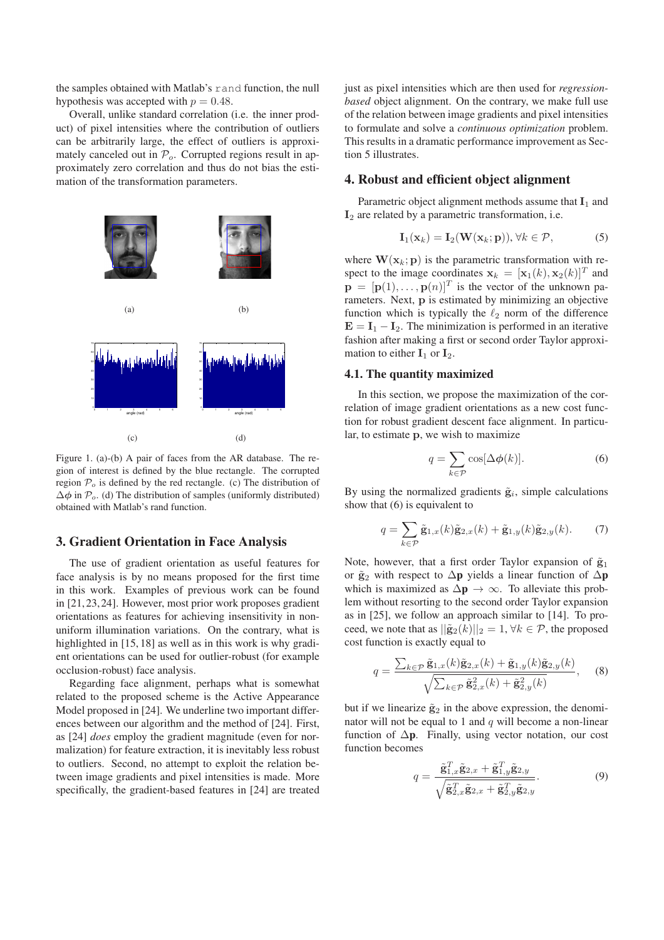the samples obtained with Matlab's rand function, the null hypothesis was accepted with  $p = 0.48$ .

Overall, unlike standard correlation (i.e. the inner product) of pixel intensities where the contribution of outliers can be arbitrarily large, the effect of outliers is approximately canceled out in  $P<sub>o</sub>$ . Corrupted regions result in approximately zero correlation and thus do not bias the estimation of the transformation parameters.



Figure 1. (a)-(b) A pair of faces from the AR database. The region of interest is defined by the blue rectangle. The corrupted region  $P<sub>o</sub>$  is defined by the red rectangle. (c) The distribution of  $\Delta \phi$  in  $\mathcal{P}_o$ . (d) The distribution of samples (uniformly distributed) obtained with Matlab's rand function.

### **3. Gradient Orientation in Face Analysis**

The use of gradient orientation as useful features for face analysis is by no means proposed for the first time in this work. Examples of previous work can be found in [21, 23, 24]. However, most prior work proposes gradient orientations as features for achieving insensitivity in nonuniform illumination variations. On the contrary, what is highlighted in [15, 18] as well as in this work is why gradient orientations can be used for outlier-robust (for example occlusion-robust) face analysis.

Regarding face alignment, perhaps what is somewhat related to the proposed scheme is the Active Appearance Model proposed in [24]. We underline two important differences between our algorithm and the method of [24]. First, as [24] *does* employ the gradient magnitude (even for normalization) for feature extraction, it is inevitably less robust to outliers. Second, no attempt to exploit the relation between image gradients and pixel intensities is made. More specifically, the gradient-based features in [24] are treated

just as pixel intensities which are then used for *regressionbased* object alignment. On the contrary, we make full use of the relation between image gradients and pixel intensities to formulate and solve a *continuous optimization* problem. This results in a dramatic performance improvement as Section 5 illustrates.

#### **4. Robust and efficient object alignment**

Parametric object alignment methods assume that  $I_1$  and  $I_2$  are related by a parametric transformation, i.e.

$$
\mathbf{I}_1(\mathbf{x}_k) = \mathbf{I}_2(\mathbf{W}(\mathbf{x}_k; \mathbf{p})), \forall k \in \mathcal{P},
$$
 (5)

where  $\mathbf{W}(\mathbf{x}_k; \mathbf{p})$  is the parametric transformation with respect to the image coordinates  $\mathbf{x}_k = [\mathbf{x}_1(k), \mathbf{x}_2(k)]^T$  and  $\mathbf{p} = [\mathbf{p}(1), \dots, \mathbf{p}(n)]^T$  is the vector of the unknown parameters. Next, p is estimated by minimizing an objective function which is typically the  $\ell_2$  norm of the difference  $E = I_1 - I_2$ . The minimization is performed in an iterative fashion after making a first or second order Taylor approximation to either  $I_1$  or  $I_2$ .

### **4.1. The quantity maximized**

In this section, we propose the maximization of the correlation of image gradient orientations as a new cost function for robust gradient descent face alignment. In particular, to estimate p, we wish to maximize

$$
q = \sum_{k \in \mathcal{P}} \cos[\Delta \phi(k)].
$$
 (6)

By using the normalized gradients  $\tilde{g}_i$ , simple calculations show that (6) is equivalent to

$$
q = \sum_{k \in \mathcal{P}} \tilde{\mathbf{g}}_{1,x}(k) \tilde{\mathbf{g}}_{2,x}(k) + \tilde{\mathbf{g}}_{1,y}(k) \tilde{\mathbf{g}}_{2,y}(k). \tag{7}
$$

Note, however, that a first order Taylor expansion of  $\tilde{g}_1$ or  $\tilde{g}_2$  with respect to  $\Delta p$  yields a linear function of  $\Delta p$ which is maximized as  $\Delta p \rightarrow \infty$ . To alleviate this problem without resorting to the second order Taylor expansion as in [25], we follow an approach similar to [14]. To proceed, we note that as  $||\tilde{\mathbf{g}}_2(k)||_2 = 1, \forall k \in \mathcal{P}$ , the proposed cost function is exactly equal to

$$
q = \frac{\sum_{k \in \mathcal{P}} \tilde{\mathbf{g}}_{1,x}(k)\tilde{\mathbf{g}}_{2,x}(k) + \tilde{\mathbf{g}}_{1,y}(k)\tilde{\mathbf{g}}_{2,y}(k)}{\sqrt{\sum_{k \in \mathcal{P}} \tilde{\mathbf{g}}_{2,x}^2(k) + \tilde{\mathbf{g}}_{2,y}^2(k)}},
$$
(8)

but if we linearize  $\tilde{g}_2$  in the above expression, the denominator will not be equal to 1 and  $q$  will become a non-linear function of ∆**p**. Finally, using vector notation, our cost function becomes

$$
q = \frac{\tilde{\mathbf{g}}_{1,x}^T \tilde{\mathbf{g}}_{2,x} + \tilde{\mathbf{g}}_{1,y}^T \tilde{\mathbf{g}}_{2,y}}{\sqrt{\tilde{\mathbf{g}}_{2,x}^T \tilde{\mathbf{g}}_{2,x} + \tilde{\mathbf{g}}_{2,y}^T \tilde{\mathbf{g}}_{2,y}}}.
$$
(9)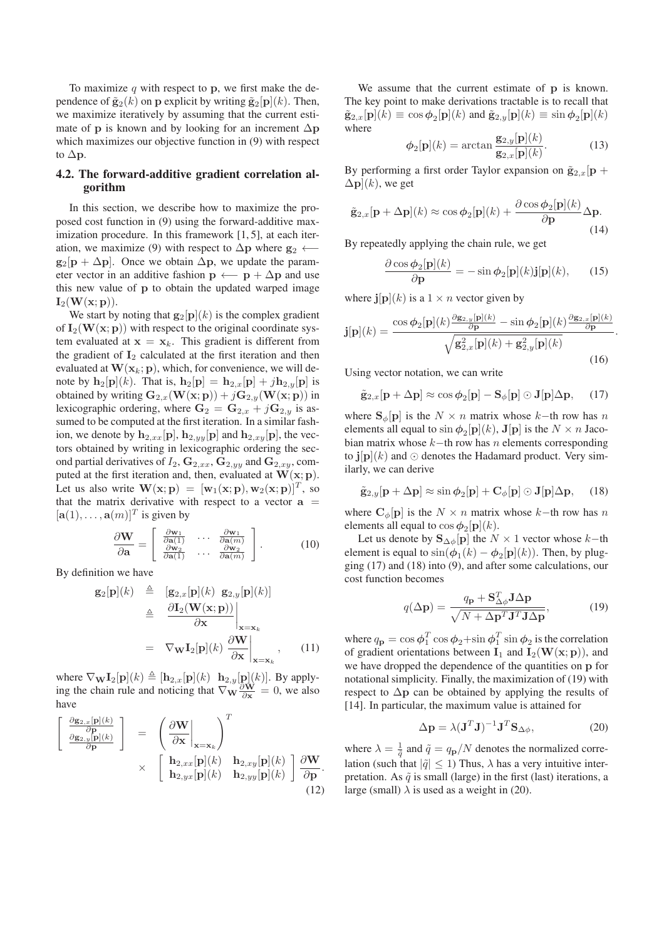To maximize q with respect to p, we first make the dependence of  $\tilde{\mathbf{g}}_2(k)$  on p explicit by writing  $\tilde{\mathbf{g}}_2[\mathbf{p}](k)$ . Then, we maximize iteratively by assuming that the current estimate of **p** is known and by looking for an increment  $\Delta p$ which maximizes our objective function in (9) with respect to  $\Delta p$ .

#### **4.2. The forward-additive gradient correlation algorithm**

In this section, we describe how to maximize the proposed cost function in (9) using the forward-additive maximization procedure. In this framework [1, 5], at each iteration, we maximize (9) with respect to  $\Delta p$  where  $g_2 \leftarrow$  $g_2[p + \Delta p]$ . Once we obtain  $\Delta p$ , we update the parameter vector in an additive fashion  $p \leftarrow p + \Delta p$  and use this new value of p to obtain the updated warped image  $\mathbf{I}_2(\mathbf{W}(\mathbf{x};\mathbf{p})).$ 

We start by noting that  $g_2[p](k)$  is the complex gradient of  $I_2(W(x; p))$  with respect to the original coordinate system evaluated at  $x = x_k$ . This gradient is different from the gradient of  $I_2$  calculated at the first iteration and then evaluated at  $\mathbf{W}(\mathbf{x}_k; \mathbf{p})$ , which, for convenience, we will denote by  $\mathbf{h}_2[\mathbf{p}](k)$ . That is,  $\mathbf{h}_2[\mathbf{p}] = \mathbf{h}_{2,x}[\mathbf{p}] + j\mathbf{h}_{2,y}[\mathbf{p}]$  is obtained by writing  $\mathbf{G}_{2,x}(\mathbf{W}(\mathbf{x};\mathbf{p})) + j\mathbf{G}_{2,y}(\mathbf{W}(\mathbf{x};\mathbf{p}))$  in lexicographic ordering, where  $G_2 = G_{2,x} + jG_{2,y}$  is assumed to be computed at the first iteration. In a similar fashion, we denote by  $\mathbf{h}_{2,xx}[\mathbf{p}], \mathbf{h}_{2,yy}[\mathbf{p}]$  and  $\mathbf{h}_{2,xy}[\mathbf{p}]$ , the vectors obtained by writing in lexicographic ordering the second partial derivatives of  $I_2$ ,  $\mathbf{G}_{2,xx}$ ,  $\mathbf{G}_{2,yy}$  and  $\mathbf{G}_{2,xy}$ , computed at the first iteration and, then, evaluated at  $W(x; p)$ . Let us also write  $\mathbf{W}(\mathbf{x};\mathbf{p}) = [\mathbf{w}_1(\mathbf{x};\mathbf{p}), \mathbf{w}_2(\mathbf{x};\mathbf{p})]^T$ , so that the matrix derivative with respect to a vector  $a =$  $[\mathbf{a}(1), \dots, \mathbf{a}(m)]^T$  is given by

$$
\frac{\partial \mathbf{W}}{\partial \mathbf{a}} = \begin{bmatrix} \frac{\partial \mathbf{w}_1}{\partial \mathbf{a}(1)} & \cdots & \frac{\partial \mathbf{w}_1}{\partial \mathbf{a}(m)} \\ \frac{\partial \mathbf{w}_2}{\partial \mathbf{a}(1)} & \cdots & \frac{\partial \mathbf{w}_2}{\partial \mathbf{a}(m)} \end{bmatrix} .
$$
 (10)

By definition we have

$$
\mathbf{g}_2[\mathbf{p}](k) \triangleq [\mathbf{g}_{2,x}[\mathbf{p}](k) \mathbf{g}_{2,y}[\mathbf{p}](k)]
$$
  
\n
$$
\triangleq \frac{\partial \mathbf{I}_2(\mathbf{W}(\mathbf{x}; \mathbf{p}))}{\partial \mathbf{x}} \Big|_{\mathbf{x}=\mathbf{x}_k}
$$
  
\n
$$
= \nabla_{\mathbf{W}} \mathbf{I}_2[\mathbf{p}](k) \frac{\partial \mathbf{W}}{\partial \mathbf{x}} \Big|_{\mathbf{x}=\mathbf{x}_k}, \qquad (11)
$$

where  $\nabla_{\mathbf{W}}\mathbf{I}_2[\mathbf{p}](k) \triangleq [\mathbf{h}_{2,x}[\mathbf{p}](k) \ \mathbf{h}_{2,y}[\mathbf{p}](k)]$ . By applying the chain rule and noticing that  $\nabla_{\mathbf{W}} \frac{\partial \mathbf{W}}{\partial \mathbf{x}} = 0$ , we also have

$$
\begin{bmatrix}\n\frac{\partial \mathbf{g}_{2,x}[\mathbf{p}](k)}{\partial \mathbf{p}} \\
\frac{\partial \mathbf{g}_{2,y}[\mathbf{p}](k)}{\partial \mathbf{p}}\n\end{bmatrix} = \begin{bmatrix}\n\frac{\partial \mathbf{W}}{\partial \mathbf{x}}\Big|_{\mathbf{x}=\mathbf{x}_k}\n\end{bmatrix}^T\n\times\n\begin{bmatrix}\n\mathbf{h}_{2,xx}[\mathbf{p}](k) & \mathbf{h}_{2,xy}[\mathbf{p}](k) & \frac{\partial \mathbf{W}}{\partial \mathbf{p}} \\
\mathbf{h}_{2,yx}[\mathbf{p}](k) & \mathbf{h}_{2,yy}[\mathbf{p}](k)\n\end{bmatrix}\n\frac{\partial \mathbf{W}}{\partial \mathbf{p}}.
$$
\n(12)

We assume that the current estimate of p is known. The key point to make derivations tractable is to recall that  $\tilde{\mathbf{g}}_{2,x}[\mathbf{p}](k) \equiv \cos \phi_2[\mathbf{p}](k)$  and  $\tilde{\mathbf{g}}_{2,y}[\mathbf{p}](k) \equiv \sin \phi_2[\mathbf{p}](k)$ where

$$
\phi_2[\mathbf{p}](k) = \arctan \frac{\mathbf{g}_{2,y}[\mathbf{p}](k)}{\mathbf{g}_{2,x}[\mathbf{p}](k)}.
$$
 (13)

By performing a first order Taylor expansion on  $\tilde{g}_{2,x}[\mathbf{p}]$  +  $\Delta \mathbf{p}$ ](k), we get

$$
\tilde{\mathbf{g}}_{2,x}[\mathbf{p} + \Delta \mathbf{p}](k) \approx \cos \phi_2[\mathbf{p}](k) + \frac{\partial \cos \phi_2[\mathbf{p}](k)}{\partial \mathbf{p}} \Delta \mathbf{p}.
$$
\n(14)

By repeatedly applying the chain rule, we get

$$
\frac{\partial \cos \phi_2[\mathbf{p}](k)}{\partial \mathbf{p}} = -\sin \phi_2[\mathbf{p}](k)\mathbf{j}[\mathbf{p}](k),\qquad(15)
$$

.

where  $\mathbf{j}[\mathbf{p}](k)$  is a  $1 \times n$  vector given by

$$
\mathbf{j}[\mathbf{p}](k) = \frac{\cos \phi_2[\mathbf{p}](k) \frac{\partial \mathbf{g}_{2,y}[\mathbf{p}](k)}{\partial \mathbf{p}} - \sin \phi_2[\mathbf{p}](k) \frac{\partial \mathbf{g}_{2,x}[\mathbf{p}](k)}{\partial \mathbf{p}}}{\sqrt{\mathbf{g}_{2,x}^2[\mathbf{p}](k) + \mathbf{g}_{2,y}^2[\mathbf{p}](k)}}
$$
(16)

Using vector notation, we can write

$$
\tilde{\mathbf{g}}_{2,x}[\mathbf{p} + \Delta \mathbf{p}] \approx \cos \phi_2[\mathbf{p}] - \mathbf{S}_{\phi}[\mathbf{p}] \odot \mathbf{J}[\mathbf{p}] \Delta \mathbf{p}, \quad (17)
$$

where  $S_{\phi}[\mathbf{p}]$  is the  $N \times n$  matrix whose k–th row has n elements all equal to  $\sin \phi_2[\mathbf{p}](k)$ ,  $\mathbf{J}[\mathbf{p}]$  is the  $N \times n$  Jacobian matrix whose  $k$ −th row has n elements corresponding to  $\mathbf{j}[\mathbf{p}](k)$  and  $\odot$  denotes the Hadamard product. Very similarly, we can derive

$$
\tilde{\mathbf{g}}_{2,y}[\mathbf{p} + \Delta \mathbf{p}] \approx \sin \phi_2[\mathbf{p}] + \mathbf{C}_{\phi}[\mathbf{p}] \odot \mathbf{J}[\mathbf{p}] \Delta \mathbf{p}, \quad (18)
$$

where  $C_{\phi}[\mathbf{p}]$  is the  $N \times n$  matrix whose k–th row has n elements all equal to  $\cos \phi_2[\mathbf{p}](k)$ .

Let us denote by  $\mathbf{S}_{\Delta\phi}[\mathbf{p}]$  the  $N \times 1$  vector whose  $k$ −th element is equal to  $\sin(\phi_1(k) - \phi_2[\mathbf{p}](k))$ . Then, by plugging (17) and (18) into (9), and after some calculations, our cost function becomes

$$
q(\Delta \mathbf{p}) = \frac{q_{\mathbf{p}} + \mathbf{S}_{\Delta \phi}^T \mathbf{J} \Delta \mathbf{p}}{\sqrt{N + \Delta \mathbf{p}^T \mathbf{J}^T \mathbf{J} \Delta \mathbf{p}}},\tag{19}
$$

where  $q_{\bf p} = \cos \phi_1^T \cos \phi_2 + \sin \phi_1^T \sin \phi_2$  is the correlation of gradient orientations between  $I_1$  and  $I_2(W(x; p))$ , and we have dropped the dependence of the quantities on p for notational simplicity. Finally, the maximization of (19) with respect to  $\Delta p$  can be obtained by applying the results of [14]. In particular, the maximum value is attained for

$$
\Delta \mathbf{p} = \lambda (\mathbf{J}^T \mathbf{J})^{-1} \mathbf{J}^T \mathbf{S}_{\Delta \phi},\tag{20}
$$

where  $\lambda = \frac{1}{\tilde{q}}$  and  $\tilde{q} = q_{\mathbf{p}}/N$  denotes the normalized correlation (such that  $|\tilde{q}| \leq 1$ ) Thus,  $\lambda$  has a very intuitive interpretation. As  $\tilde{q}$  is small (large) in the first (last) iterations, a large (small)  $\lambda$  is used as a weight in (20).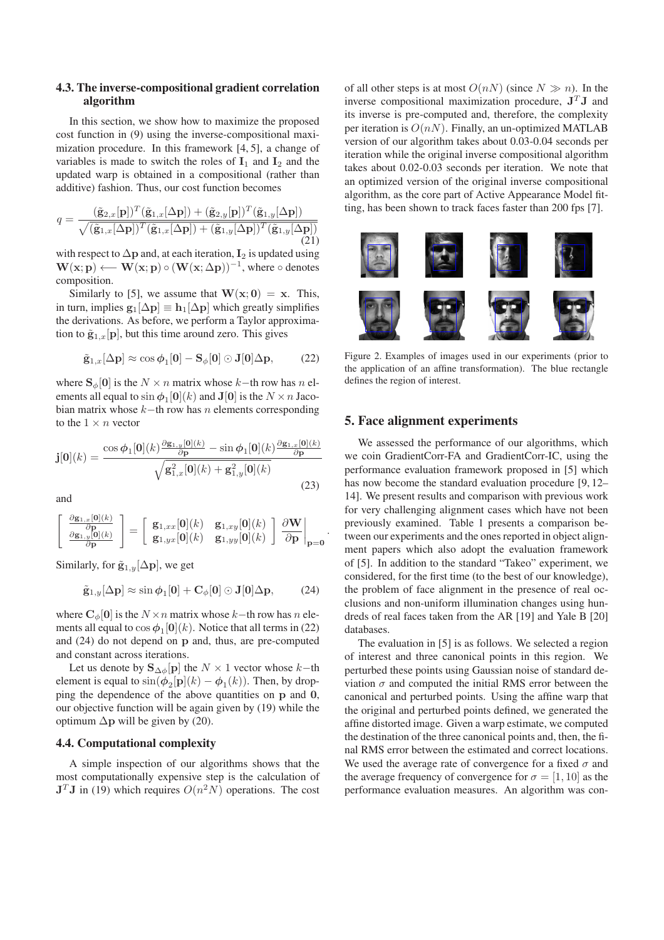#### **4.3. The inverse-compositional gradient correlation algorithm**

In this section, we show how to maximize the proposed cost function in (9) using the inverse-compositional maximization procedure. In this framework [4, 5], a change of variables is made to switch the roles of  $I_1$  and  $I_2$  and the updated warp is obtained in a compositional (rather than additive) fashion. Thus, our cost function becomes

$$
q = \frac{(\tilde{\mathbf{g}}_{2,x}[\mathbf{p}])^T(\tilde{\mathbf{g}}_{1,x}[\Delta \mathbf{p}]) + (\tilde{\mathbf{g}}_{2,y}[\mathbf{p}])^T(\tilde{\mathbf{g}}_{1,y}[\Delta \mathbf{p}])}{\sqrt{(\tilde{\mathbf{g}}_{1,x}[\Delta \mathbf{p}])^T(\tilde{\mathbf{g}}_{1,x}[\Delta \mathbf{p}]) + (\tilde{\mathbf{g}}_{1,y}[\Delta \mathbf{p}])^T(\tilde{\mathbf{g}}_{1,y}[\Delta \mathbf{p}])}}
$$
(21)

with respect to  $\Delta p$  and, at each iteration,  $I_2$  is updated using  $\mathbf{W}(\mathbf{x};\mathbf{p}) \longleftarrow \mathbf{W}(\mathbf{x};\mathbf{p}) \circ (\mathbf{W}(\mathbf{x};\Delta \mathbf{p}))^{-1}$ , where  $\circ$  denotes composition.

Similarly to [5], we assume that  $W(x; 0) = x$ . This, in turn, implies  $g_1[\Delta p] \equiv h_1[\Delta p]$  which greatly simplifies the derivations. As before, we perform a Taylor approximation to  $\tilde{\mathbf{g}}_{1,x}[\mathbf{p}]$ , but this time around zero. This gives

$$
\tilde{\mathbf{g}}_{1,x}[\Delta \mathbf{p}] \approx \cos \phi_1[\mathbf{0}] - \mathbf{S}_{\phi}[\mathbf{0}] \odot \mathbf{J}[\mathbf{0}]\Delta \mathbf{p},\qquad(22)
$$

where  $S_{\phi}[0]$  is the  $N \times n$  matrix whose k–th row has n elements all equal to  $\sin \phi_1[\mathbf{0}](k)$  and  $\mathbf{J}[\mathbf{0}]$  is the  $N \times n$  Jacobian matrix whose  $k$ −th row has n elements corresponding to the  $1 \times n$  vector

$$
\mathbf{j}[0](k) = \frac{\cos \phi_1[0](k) \frac{\partial \mathbf{g}_{1,y}[0](k)}{\partial \mathbf{p}} - \sin \phi_1[0](k) \frac{\partial \mathbf{g}_{1,x}[0](k)}{\partial \mathbf{p}}}{\sqrt{\mathbf{g}_{1,x}^2[0](k) + \mathbf{g}_{1,y}^2[0](k)}}
$$
(23)

and

$$
\begin{bmatrix}\n\frac{\partial \mathbf{g}_{1,x}[0](k)}{\partial \mathbf{p}} \\
\frac{\partial \mathbf{g}_{1,y}[0](k)}{\partial \mathbf{p}}\n\end{bmatrix} = \begin{bmatrix}\n\mathbf{g}_{1,xx}[0](k) & \mathbf{g}_{1,xy}[0](k) \\
\mathbf{g}_{1,yy}[0](k) & \mathbf{g}_{1,yy}[0](k)\n\end{bmatrix} \frac{\partial \mathbf{W}}{\partial \mathbf{p}}\bigg|_{\mathbf{p}=\mathbf{0}}.
$$

Similarly, for  $\tilde{\mathbf{g}}_{1,y}[\Delta \mathbf{p}]$ , we get

$$
\tilde{\mathbf{g}}_{1,y}[\Delta \mathbf{p}] \approx \sin \phi_1[\mathbf{0}] + \mathbf{C}_{\phi}[\mathbf{0}] \odot \mathbf{J}[\mathbf{0}]\Delta \mathbf{p}, \quad (24)
$$

where  $C_{\phi}[0]$  is the  $N \times n$  matrix whose k−th row has n elements all equal to  $\cos \phi_1[\mathbf{0}](k)$ . Notice that all terms in (22) and (24) do not depend on p and, thus, are pre-computed and constant across iterations.

Let us denote by  $\mathbf{S}_{\Delta\phi}[\mathbf{p}]$  the  $N \times 1$  vector whose  $k$ −th element is equal to  $\sin(\phi_2[\mathbf{p}](k) - \phi_1(k))$ . Then, by dropping the dependence of the above quantities on p and 0, our objective function will be again given by (19) while the optimum  $\Delta$ p will be given by (20).

### **4.4. Computational complexity**

A simple inspection of our algorithms shows that the most computationally expensive step is the calculation of  $J<sup>T</sup>J$  in (19) which requires  $O(n<sup>2</sup>N)$  operations. The cost

of all other steps is at most  $O(nN)$  (since  $N \gg n$ ). In the inverse compositional maximization procedure,  $J^T J$  and its inverse is pre-computed and, therefore, the complexity per iteration is  $O(nN)$ . Finally, an un-optimized MATLAB version of our algorithm takes about 0.03-0.04 seconds per iteration while the original inverse compositional algorithm takes about 0.02-0.03 seconds per iteration. We note that an optimized version of the original inverse compositional algorithm, as the core part of Active Appearance Model fitting, has been shown to track faces faster than 200 fps [7].



Figure 2. Examples of images used in our experiments (prior to the application of an affine transformation). The blue rectangle defines the region of interest.

### **5. Face alignment experiments**

We assessed the performance of our algorithms, which we coin GradientCorr-FA and GradientCorr-IC, using the performance evaluation framework proposed in [5] which has now become the standard evaluation procedure [9, 12– 14]. We present results and comparison with previous work for very challenging alignment cases which have not been previously examined. Table 1 presents a comparison between our experiments and the ones reported in object alignment papers which also adopt the evaluation framework of [5]. In addition to the standard "Takeo" experiment, we considered, for the first time (to the best of our knowledge), the problem of face alignment in the presence of real occlusions and non-uniform illumination changes using hundreds of real faces taken from the AR [19] and Yale B [20] databases.

The evaluation in [5] is as follows. We selected a region of interest and three canonical points in this region. We perturbed these points using Gaussian noise of standard deviation  $\sigma$  and computed the initial RMS error between the canonical and perturbed points. Using the affine warp that the original and perturbed points defined, we generated the affine distorted image. Given a warp estimate, we computed the destination of the three canonical points and, then, the final RMS error between the estimated and correct locations. We used the average rate of convergence for a fixed  $\sigma$  and the average frequency of convergence for  $\sigma = [1, 10]$  as the performance evaluation measures. An algorithm was con-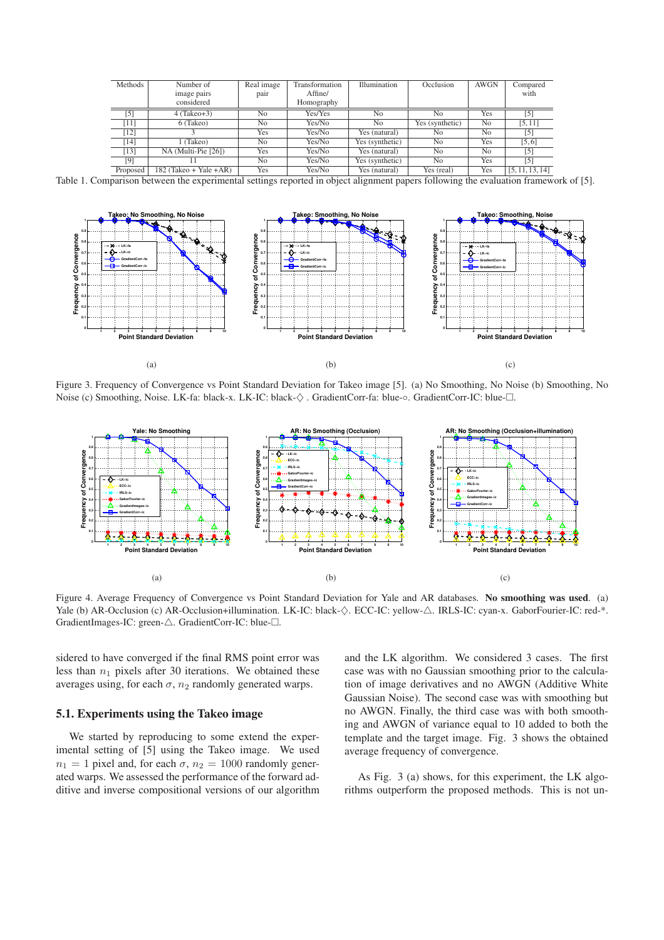| Methods  | Number of                | Real image     | Transformation | Illumination    | Occlusion       | <b>AWGN</b>    | Compared          |
|----------|--------------------------|----------------|----------------|-----------------|-----------------|----------------|-------------------|
|          | image pairs              | pair           | Affine/        |                 |                 |                | with              |
|          | considered               |                | Homography     |                 |                 |                |                   |
| [5]      | $4$ (Takeo+3)            | N <sub>0</sub> | Yes/Yes        | N <sub>0</sub>  | No              | <b>Yes</b>     | $\lceil 5 \rceil$ |
| $[11]$   | 6 (Takeo)                | N <sub>0</sub> | Yes/No         | N <sub>0</sub>  | Yes (synthetic) | N <sub>0</sub> | [5, 11]           |
| $[12]$   |                          | Yes            | Yes/No         | Yes (natural)   | No              | N <sub>0</sub> | $\lceil 5 \rceil$ |
| [14]     | (Takeo)                  | N <sub>0</sub> | Yes/No         | Yes (synthetic) | No              | <b>Yes</b>     | [5, 6]            |
| [13]     | NA (Multi-Pie [26])      | Yes            | Yes/No         | Yes (natural)   | N <sub>0</sub>  | N <sub>0</sub> | [5]               |
| [9]      |                          | N <sub>0</sub> | Yes/No         | Yes (synthetic) | N <sub>0</sub>  | Yes            | [5]               |
| Proposed | $182$ (Takeo + Yale +AR) | Yes            | Yes/No         | Yes (natural)   | Yes (real)      | <b>Yes</b>     | [5, 11, 13, 14]   |

Table 1. Comparison between the experimental settings reported in object alignment papers following the evaluation framework of [5].



Figure 3. Frequency of Convergence vs Point Standard Deviation for Takeo image [5]. (a) No Smoothing, No Noise (b) Smoothing, No Noise (c) Smoothing, Noise. LK-fa: black-x. LK-IC: black- $\diamondsuit$ . GradientCorr-fa: blue-○. GradientCorr-IC: blue- $\square$ .



Figure 4. Average Frequency of Convergence vs Point Standard Deviation for Yale and AR databases. **No smoothing was used**. (a) Yale (b) AR-Occlusion (c) AR-Occlusion+illumination. LK-IC: black-♦. ECC-IC: yellow-△. IRLS-IC: cyan-x. GaborFourier-IC: red-\*. GradientImages-IC: green- $\triangle$ . GradientCorr-IC: blue- $\Box$ .

sidered to have converged if the final RMS point error was less than  $n_1$  pixels after 30 iterations. We obtained these averages using, for each  $\sigma$ ,  $n_2$  randomly generated warps.

#### **5.1. Experiments using the Takeo image**

We started by reproducing to some extend the experimental setting of [5] using the Takeo image. We used  $n_1 = 1$  pixel and, for each  $\sigma$ ,  $n_2 = 1000$  randomly generated warps. We assessed the performance of the forward additive and inverse compositional versions of our algorithm and the LK algorithm. We considered 3 cases. The first case was with no Gaussian smoothing prior to the calculation of image derivatives and no AWGN (Additive White Gaussian Noise). The second case was with smoothing but no AWGN. Finally, the third case was with both smoothing and AWGN of variance equal to 10 added to both the template and the target image. Fig. 3 shows the obtained average frequency of convergence.

As Fig. 3 (a) shows, for this experiment, the LK algorithms outperform the proposed methods. This is not un-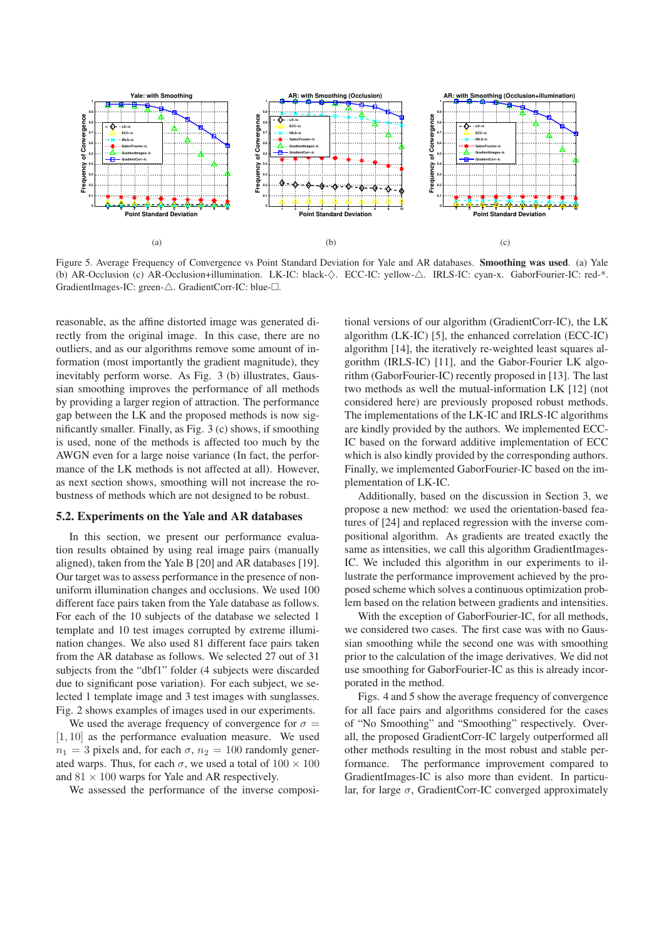

Figure 5. Average Frequency of Convergence vs Point Standard Deviation for Yale and AR databases. **Smoothing was used**. (a) Yale (b) AR-Occlusion (c) AR-Occlusion+illumination. LK-IC: black-♦. ECC-IC: yellow-△. IRLS-IC: cyan-x. GaborFourier-IC: red-\*. GradientImages-IC: green-△. GradientCorr-IC: blue-□.

reasonable, as the affine distorted image was generated directly from the original image. In this case, there are no outliers, and as our algorithms remove some amount of information (most importantly the gradient magnitude), they inevitably perform worse. As Fig. 3 (b) illustrates, Gaussian smoothing improves the performance of all methods by providing a larger region of attraction. The performance gap between the LK and the proposed methods is now significantly smaller. Finally, as Fig. 3 (c) shows, if smoothing is used, none of the methods is affected too much by the AWGN even for a large noise variance (In fact, the performance of the LK methods is not affected at all). However, as next section shows, smoothing will not increase the robustness of methods which are not designed to be robust.

#### **5.2. Experiments on the Yale and AR databases**

In this section, we present our performance evaluation results obtained by using real image pairs (manually aligned), taken from the Yale B [20] and AR databases [19]. Our target was to assess performance in the presence of nonuniform illumination changes and occlusions. We used 100 different face pairs taken from the Yale database as follows. For each of the 10 subjects of the database we selected 1 template and 10 test images corrupted by extreme illumination changes. We also used 81 different face pairs taken from the AR database as follows. We selected 27 out of 31 subjects from the "dbf1" folder (4 subjects were discarded due to significant pose variation). For each subject, we selected 1 template image and 3 test images with sunglasses. Fig. 2 shows examples of images used in our experiments.

We used the average frequency of convergence for  $\sigma =$  $[1, 10]$  as the performance evaluation measure. We used  $n_1 = 3$  pixels and, for each  $\sigma$ ,  $n_2 = 100$  randomly generated warps. Thus, for each  $\sigma$ , we used a total of  $100 \times 100$ and  $81 \times 100$  warps for Yale and AR respectively.

We assessed the performance of the inverse composi-

tional versions of our algorithm (GradientCorr-IC), the LK algorithm (LK-IC) [5], the enhanced correlation (ECC-IC) algorithm [14], the iteratively re-weighted least squares algorithm (IRLS-IC) [11], and the Gabor-Fourier LK algorithm (GaborFourier-IC) recently proposed in [13]. The last two methods as well the mutual-information LK [12] (not considered here) are previously proposed robust methods. The implementations of the LK-IC and IRLS-IC algorithms are kindly provided by the authors. We implemented ECC-IC based on the forward additive implementation of ECC which is also kindly provided by the corresponding authors. Finally, we implemented GaborFourier-IC based on the implementation of LK-IC.

Additionally, based on the discussion in Section 3, we propose a new method: we used the orientation-based features of [24] and replaced regression with the inverse compositional algorithm. As gradients are treated exactly the same as intensities, we call this algorithm GradientImages-IC. We included this algorithm in our experiments to illustrate the performance improvement achieved by the proposed scheme which solves a continuous optimization problem based on the relation between gradients and intensities.

With the exception of GaborFourier-IC, for all methods, we considered two cases. The first case was with no Gaussian smoothing while the second one was with smoothing prior to the calculation of the image derivatives. We did not use smoothing for GaborFourier-IC as this is already incorporated in the method.

Figs. 4 and 5 show the average frequency of convergence for all face pairs and algorithms considered for the cases of "No Smoothing" and "Smoothing" respectively. Overall, the proposed GradientCorr-IC largely outperformed all other methods resulting in the most robust and stable performance. The performance improvement compared to GradientImages-IC is also more than evident. In particular, for large  $\sigma$ , GradientCorr-IC converged approximately